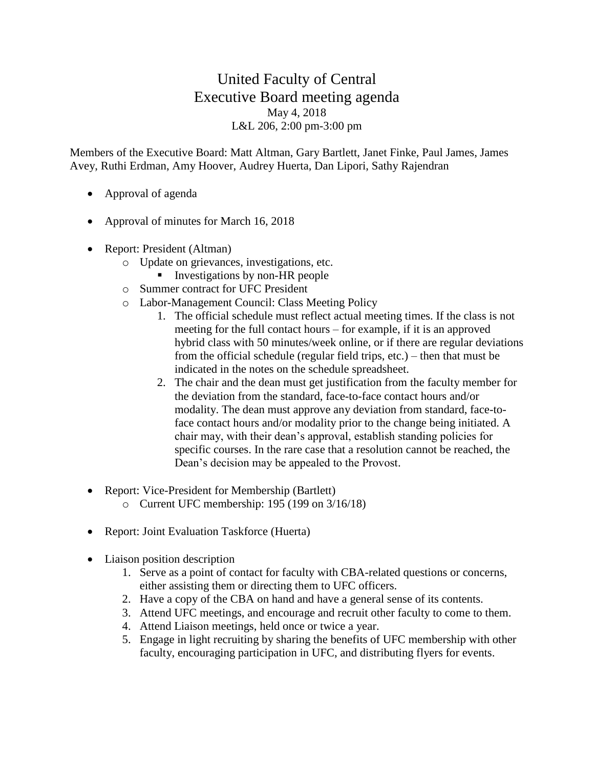## United Faculty of Central Executive Board meeting agenda May 4, 2018 L&L 206, 2:00 pm-3:00 pm

Members of the Executive Board: Matt Altman, Gary Bartlett, Janet Finke, Paul James, James Avey, Ruthi Erdman, Amy Hoover, Audrey Huerta, Dan Lipori, Sathy Rajendran

- Approval of agenda
- Approval of minutes for March 16, 2018
- Report: President (Altman)
	- o Update on grievances, investigations, etc.
		- **Exercise 1** Investigations by non-HR people
	- o Summer contract for UFC President
	- o Labor-Management Council: Class Meeting Policy
		- 1. The official schedule must reflect actual meeting times. If the class is not meeting for the full contact hours – for example, if it is an approved hybrid class with 50 minutes/week online, or if there are regular deviations from the official schedule (regular field trips, etc.) – then that must be indicated in the notes on the schedule spreadsheet.
		- 2. The chair and the dean must get justification from the faculty member for the deviation from the standard, face-to-face contact hours and/or modality. The dean must approve any deviation from standard, face-toface contact hours and/or modality prior to the change being initiated. A chair may, with their dean's approval, establish standing policies for specific courses. In the rare case that a resolution cannot be reached, the Dean's decision may be appealed to the Provost.
- Report: Vice-President for Membership (Bartlett)
	- o Current UFC membership: 195 (199 on 3/16/18)
- Report: Joint Evaluation Taskforce (Huerta)
- Liaison position description
	- 1. Serve as a point of contact for faculty with CBA-related questions or concerns, either assisting them or directing them to UFC officers.
	- 2. Have a copy of the CBA on hand and have a general sense of its contents.
	- 3. Attend UFC meetings, and encourage and recruit other faculty to come to them.
	- 4. Attend Liaison meetings, held once or twice a year.
	- 5. Engage in light recruiting by sharing the benefits of UFC membership with other faculty, encouraging participation in UFC, and distributing flyers for events.